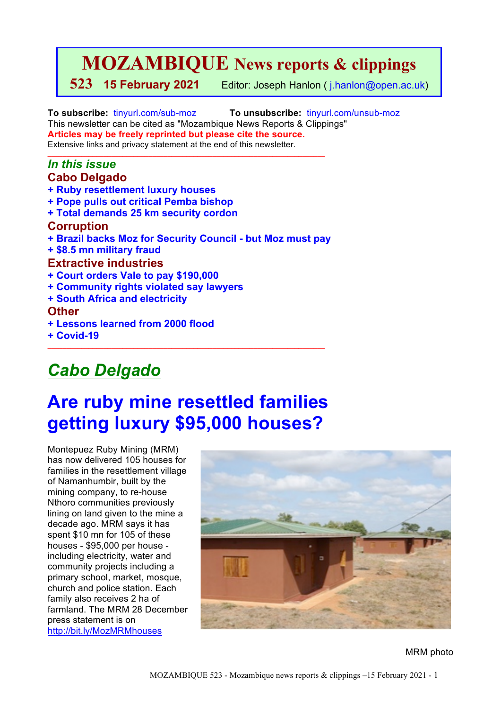# **MOZAMBIQUE News reports & clippings**

**523 15 February 2021** Editor: Joseph Hanlon ( j.hanlon@open.ac.uk)

**To subscribe:** tinyurl.com/sub-moz **To unsubscribe:** tinyurl.com/unsub-moz This newsletter can be cited as "Mozambique News Reports & Clippings" **Articles may be freely reprinted but please cite the source.** Extensive links and privacy statement at the end of this newsletter.

### *In this issue* **Cabo Delgado**

- **+ Ruby resettlement luxury houses**
- **+ Pope pulls out critical Pemba bishop**
- **+ Total demands 25 km security cordon**

### **Corruption**

**+ Brazil backs Moz for Security Council - but Moz must pay**

 $\_$  ,  $\_$  ,  $\_$  ,  $\_$  ,  $\_$  ,  $\_$  ,  $\_$  ,  $\_$  ,  $\_$  ,  $\_$  ,  $\_$  ,  $\_$  ,  $\_$  ,  $\_$  ,  $\_$  ,  $\_$  ,  $\_$  ,  $\_$  ,  $\_$  ,  $\_$ 

**+ \$8.5 mn military fraud** 

### **Extractive industries**

- **+ Court orders Vale to pay \$190,000**
- **+ Community rights violated say lawyers**
- **+ South Africa and electricity**

### **Other**

- **+ Lessons learned from 2000 flood**
- **+ Covid-19**

# *Cabo Delgado*

# **Are ruby mine resettled families getting luxury \$95,000 houses?**

 $\mathcal{L}_\text{max}$  , and the set of the set of the set of the set of the set of the set of the set of the set of the set of

Montepuez Ruby Mining (MRM) has now delivered 105 houses for families in the resettlement village of Namanhumbir, built by the mining company, to re-house Nthoro communities previously lining on land given to the mine a decade ago. MRM says it has spent \$10 mn for 105 of these houses - \$95,000 per house including electricity, water and community projects including a primary school, market, mosque, church and police station. Each family also receives 2 ha of farmland. The MRM 28 December press statement is on http://bit.ly/MozMRMhouses



MRM photo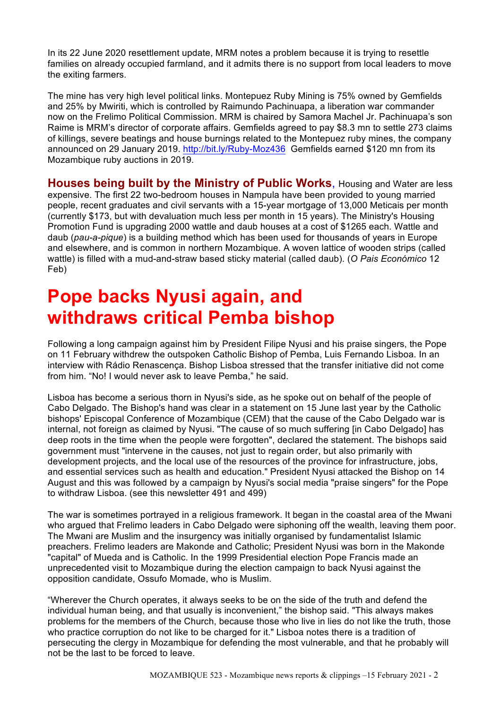In its 22 June 2020 resettlement update, MRM notes a problem because it is trying to resettle families on already occupied farmland, and it admits there is no support from local leaders to move the exiting farmers.

The mine has very high level political links. Montepuez Ruby Mining is 75% owned by Gemfields and 25% by Mwiriti, which is controlled by Raimundo Pachinuapa, a liberation war commander now on the Frelimo Political Commission. MRM is chaired by Samora Machel Jr. Pachinuapa's son Raime is MRM's director of corporate affairs. Gemfields agreed to pay \$8.3 mn to settle 273 claims of killings, severe beatings and house burnings related to the Montepuez ruby mines, the company announced on 29 January 2019. http://bit.ly/Ruby-Moz436 Gemfields earned \$120 mn from its Mozambique ruby auctions in 2019.

**Houses being built by the Ministry of Public Works**, Housing and Water are less expensive. The first 22 two-bedroom houses in Nampula have been provided to young married people, recent graduates and civil servants with a 15-year mortgage of 13,000 Meticais per month (currently \$173, but with devaluation much less per month in 15 years). The Ministry's Housing Promotion Fund is upgrading 2000 wattle and daub houses at a cost of \$1265 each. Wattle and daub (*pau-a-pique*) is a building method which has been used for thousands of years in Europe and elsewhere, and is common in northern Mozambique. A woven lattice of wooden strips (called wattle) is filled with a mud-and-straw based sticky material (called daub). (*O Pais Económico* 12 Feb)

# **Pope backs Nyusi again, and withdraws critical Pemba bishop**

Following a long campaign against him by President Filipe Nyusi and his praise singers, the Pope on 11 February withdrew the outspoken Catholic Bishop of Pemba, Luis Fernando Lisboa. In an interview with Rádio Renascença. Bishop Lisboa stressed that the transfer initiative did not come from him. "No! I would never ask to leave Pemba," he said.

Lisboa has become a serious thorn in Nyusi's side, as he spoke out on behalf of the people of Cabo Delgado. The Bishop's hand was clear in a statement on 15 June last year by the Catholic bishops' Episcopal Conference of Mozambique (CEM) that the cause of the Cabo Delgado war is internal, not foreign as claimed by Nyusi. "The cause of so much suffering [in Cabo Delgado] has deep roots in the time when the people were forgotten", declared the statement. The bishops said government must "intervene in the causes, not just to regain order, but also primarily with development projects, and the local use of the resources of the province for infrastructure, jobs, and essential services such as health and education." President Nyusi attacked the Bishop on 14 August and this was followed by a campaign by Nyusi's social media "praise singers" for the Pope to withdraw Lisboa. (see this newsletter 491 and 499)

The war is sometimes portrayed in a religious framework. It began in the coastal area of the Mwani who argued that Frelimo leaders in Cabo Delgado were siphoning off the wealth, leaving them poor. The Mwani are Muslim and the insurgency was initially organised by fundamentalist Islamic preachers. Frelimo leaders are Makonde and Catholic; President Nyusi was born in the Makonde "capital" of Mueda and is Catholic. In the 1999 Presidential election Pope Francis made an unprecedented visit to Mozambique during the election campaign to back Nyusi against the opposition candidate, Ossufo Momade, who is Muslim.

"Wherever the Church operates, it always seeks to be on the side of the truth and defend the individual human being, and that usually is inconvenient," the bishop said. "This always makes problems for the members of the Church, because those who live in lies do not like the truth, those who practice corruption do not like to be charged for it." Lisboa notes there is a tradition of persecuting the clergy in Mozambique for defending the most vulnerable, and that he probably will not be the last to be forced to leave.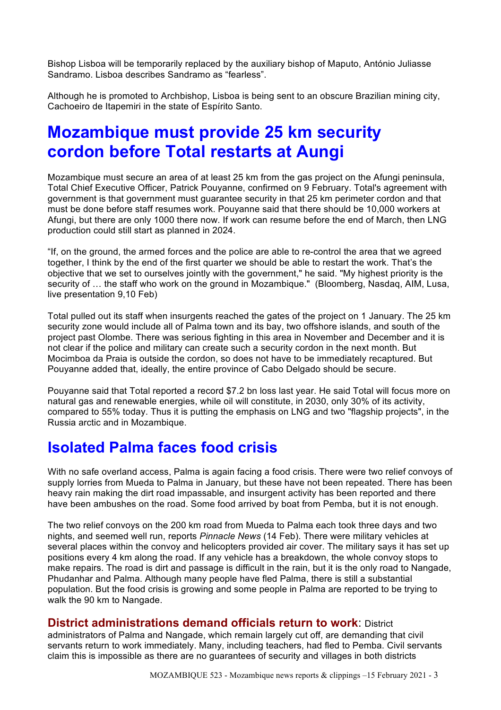Bishop Lisboa will be temporarily replaced by the auxiliary bishop of Maputo, António Juliasse Sandramo. Lisboa describes Sandramo as "fearless".

Although he is promoted to Archbishop, Lisboa is being sent to an obscure Brazilian mining city, Cachoeiro de Itapemiri in the state of Espírito Santo.

# **Mozambique must provide 25 km security cordon before Total restarts at Aungi**

Mozambique must secure an area of at least 25 km from the gas project on the Afungi peninsula, Total Chief Executive Officer, Patrick Pouyanne, confirmed on 9 February. Total's agreement with government is that government must guarantee security in that 25 km perimeter cordon and that must be done before staff resumes work. Pouyanne said that there should be 10,000 workers at Afungi, but there are only 1000 there now. If work can resume before the end of March, then LNG production could still start as planned in 2024.

"If, on the ground, the armed forces and the police are able to re-control the area that we agreed together, I think by the end of the first quarter we should be able to restart the work. That's the objective that we set to ourselves jointly with the government," he said. "My highest priority is the security of … the staff who work on the ground in Mozambique." (Bloomberg, Nasdaq, AIM, Lusa, live presentation 9,10 Feb)

Total pulled out its staff when insurgents reached the gates of the project on 1 January. The 25 km security zone would include all of Palma town and its bay, two offshore islands, and south of the project past Olombe. There was serious fighting in this area in November and December and it is not clear if the police and military can create such a security cordon in the next month. But Mocimboa da Praia is outside the cordon, so does not have to be immediately recaptured. But Pouyanne added that, ideally, the entire province of Cabo Delgado should be secure.

Pouyanne said that Total reported a record \$7.2 bn loss last year. He said Total will focus more on natural gas and renewable energies, while oil will constitute, in 2030, only 30% of its activity, compared to 55% today. Thus it is putting the emphasis on LNG and two "flagship projects", in the Russia arctic and in Mozambique.

## **Isolated Palma faces food crisis**

With no safe overland access, Palma is again facing a food crisis. There were two relief convoys of supply lorries from Mueda to Palma in January, but these have not been repeated. There has been heavy rain making the dirt road impassable, and insurgent activity has been reported and there have been ambushes on the road. Some food arrived by boat from Pemba, but it is not enough.

The two relief convoys on the 200 km road from Mueda to Palma each took three days and two nights, and seemed well run, reports *Pinnacle News* (14 Feb). There were military vehicles at several places within the convoy and helicopters provided air cover. The military says it has set up positions every 4 km along the road. If any vehicle has a breakdown, the whole convoy stops to make repairs. The road is dirt and passage is difficult in the rain, but it is the only road to Nangade, Phudanhar and Palma. Although many people have fled Palma, there is still a substantial population. But the food crisis is growing and some people in Palma are reported to be trying to walk the 90 km to Nangade.

### **District administrations demand officials return to work: District and District**

administrators of Palma and Nangade, which remain largely cut off, are demanding that civil servants return to work immediately. Many, including teachers, had fled to Pemba. Civil servants claim this is impossible as there are no guarantees of security and villages in both districts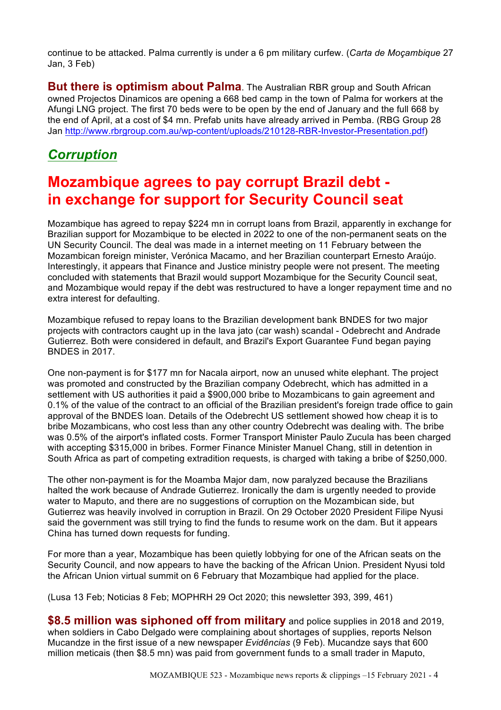continue to be attacked. Palma currently is under a 6 pm military curfew. (*Carta de Moçambique* 27 Jan, 3 Feb)

**But there is optimism about Palma**. The Australian RBR group and South African owned Projectos Dinamicos are opening a 668 bed camp in the town of Palma for workers at the Afungi LNG project. The first 70 beds were to be open by the end of January and the full 668 by the end of April, at a cost of \$4 mn. Prefab units have already arrived in Pemba. (RBG Group 28 Jan http://www.rbrgroup.com.au/wp-content/uploads/210128-RBR-Investor-Presentation.pdf)

### *Corruption*

## **Mozambique agrees to pay corrupt Brazil debt in exchange for support for Security Council seat**

Mozambique has agreed to repay \$224 mn in corrupt loans from Brazil, apparently in exchange for Brazilian support for Mozambique to be elected in 2022 to one of the non-permanent seats on the UN Security Council. The deal was made in a internet meeting on 11 February between the Mozambican foreign minister, Verónica Macamo, and her Brazilian counterpart Ernesto Araújo. Interestingly, it appears that Finance and Justice ministry people were not present. The meeting concluded with statements that Brazil would support Mozambique for the Security Council seat, and Mozambique would repay if the debt was restructured to have a longer repayment time and no extra interest for defaulting.

Mozambique refused to repay loans to the Brazilian development bank BNDES for two major projects with contractors caught up in the lava jato (car wash) scandal - Odebrecht and Andrade Gutierrez. Both were considered in default, and Brazil's Export Guarantee Fund began paying BNDES in 2017.

One non-payment is for \$177 mn for Nacala airport, now an unused white elephant. The project was promoted and constructed by the Brazilian company Odebrecht, which has admitted in a settlement with US authorities it paid a \$900,000 bribe to Mozambicans to gain agreement and 0.1% of the value of the contract to an official of the Brazilian president's foreign trade office to gain approval of the BNDES loan. Details of the Odebrecht US settlement showed how cheap it is to bribe Mozambicans, who cost less than any other country Odebrecht was dealing with. The bribe was 0.5% of the airport's inflated costs. Former Transport Minister Paulo Zucula has been charged with accepting \$315,000 in bribes. Former Finance Minister Manuel Chang, still in detention in South Africa as part of competing extradition requests, is charged with taking a bribe of \$250,000.

The other non-payment is for the Moamba Major dam, now paralyzed because the Brazilians halted the work because of Andrade Gutierrez. Ironically the dam is urgently needed to provide water to Maputo, and there are no suggestions of corruption on the Mozambican side, but Gutierrez was heavily involved in corruption in Brazil. On 29 October 2020 President Filipe Nyusi said the government was still trying to find the funds to resume work on the dam. But it appears China has turned down requests for funding.

For more than a year, Mozambique has been quietly lobbying for one of the African seats on the Security Council, and now appears to have the backing of the African Union. President Nyusi told the African Union virtual summit on 6 February that Mozambique had applied for the place.

(Lusa 13 Feb; Noticias 8 Feb; MOPHRH 29 Oct 2020; this newsletter 393, 399, 461)

**\$8.5 million was siphoned off from military** and police supplies in 2018 and 2019, when soldiers in Cabo Delgado were complaining about shortages of supplies, reports Nelson Mucandze in the first issue of a new newspaper *Evidências* (9 Feb). Mucandze says that 600 million meticais (then \$8.5 mn) was paid from government funds to a small trader in Maputo,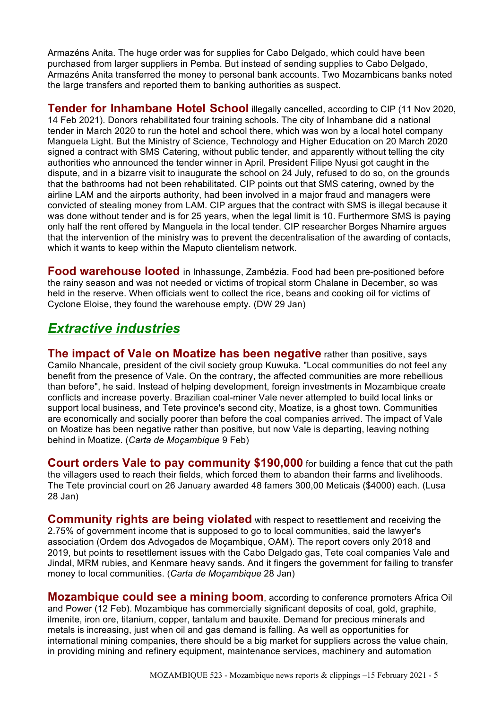Armazéns Anita. The huge order was for supplies for Cabo Delgado, which could have been purchased from larger suppliers in Pemba. But instead of sending supplies to Cabo Delgado, Armazéns Anita transferred the money to personal bank accounts. Two Mozambicans banks noted the large transfers and reported them to banking authorities as suspect.

**Tender for Inhambane Hotel School illegally cancelled, according to CIP (11 Nov 2020,** 14 Feb 2021). Donors rehabilitated four training schools. The city of Inhambane did a national tender in March 2020 to run the hotel and school there, which was won by a local hotel company Manguela Light. But the Ministry of Science, Technology and Higher Education on 20 March 2020 signed a contract with SMS Catering, without public tender, and apparently without telling the city authorities who announced the tender winner in April. President Filipe Nyusi got caught in the dispute, and in a bizarre visit to inaugurate the school on 24 July, refused to do so, on the grounds that the bathrooms had not been rehabilitated. CIP points out that SMS catering, owned by the airline LAM and the airports authority, had been involved in a major fraud and managers were convicted of stealing money from LAM. CIP argues that the contract with SMS is illegal because it was done without tender and is for 25 years, when the legal limit is 10. Furthermore SMS is paying only half the rent offered by Manguela in the local tender. CIP researcher Borges Nhamire argues that the intervention of the ministry was to prevent the decentralisation of the awarding of contacts, which it wants to keep within the Maputo clientelism network.

**Food warehouse looted** in Inhassunge, Zambézia. Food had been pre-positioned before the rainy season and was not needed or victims of tropical storm Chalane in December, so was held in the reserve. When officials went to collect the rice, beans and cooking oil for victims of Cyclone Eloise, they found the warehouse empty. (DW 29 Jan)

### *Extractive industries*

**The impact of Vale on Moatize has been negative rather than positive, says** Camilo Nhancale, president of the civil society group Kuwuka. "Local communities do not feel any benefit from the presence of Vale. On the contrary, the affected communities are more rebellious than before", he said. Instead of helping development, foreign investments in Mozambique create conflicts and increase poverty. Brazilian coal-miner Vale never attempted to build local links or support local business, and Tete province's second city, Moatize, is a ghost town. Communities are economically and socially poorer than before the coal companies arrived. The impact of Vale on Moatize has been negative rather than positive, but now Vale is departing, leaving nothing behind in Moatize. (*Carta de Moçambique* 9 Feb)

**Court orders Vale to pay community \$190,000** for building a fence that cut the path the villagers used to reach their fields, which forced them to abandon their farms and livelihoods. The Tete provincial court on 26 January awarded 48 famers 300,00 Meticais (\$4000) each. (Lusa 28 Jan)

**Community rights are being violated** with respect to resettlement and receiving the 2.75% of government income that is supposed to go to local communities, said the lawyer's association (Ordem dos Advogados de Moçambique, OAM). The report covers only 2018 and 2019, but points to resettlement issues with the Cabo Delgado gas, Tete coal companies Vale and Jindal, MRM rubies, and Kenmare heavy sands. And it fingers the government for failing to transfer money to local communities. (*Carta de Moçambique* 28 Jan)

**Mozambique could see a mining boom**, according to conference promoters Africa Oil and Power (12 Feb). Mozambique has commercially significant deposits of coal, gold, graphite, ilmenite, iron ore, titanium, copper, tantalum and bauxite. Demand for precious minerals and metals is increasing, just when oil and gas demand is falling. As well as opportunities for international mining companies, there should be a big market for suppliers across the value chain, in providing mining and refinery equipment, maintenance services, machinery and automation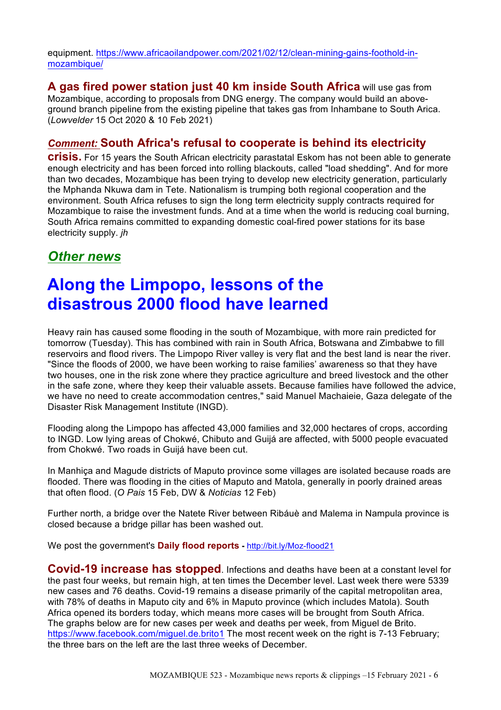equipment. https://www.africaoilandpower.com/2021/02/12/clean-mining-gains-foothold-inmozambique/

**A gas fired power station just 40 km inside South Africa** will use gas from Mozambique, according to proposals from DNG energy. The company would build an aboveground branch pipeline from the existing pipeline that takes gas from Inhambane to South Arica. (*Lowvelder* 15 Oct 2020 & 10 Feb 2021)

### *Comment:* **South Africa's refusal to cooperate is behind its electricity**

**crisis.** For 15 years the South African electricity parastatal Eskom has not been able to generate enough electricity and has been forced into rolling blackouts, called "load shedding". And for more than two decades, Mozambique has been trying to develop new electricity generation, particularly the Mphanda Nkuwa dam in Tete. Nationalism is trumping both regional cooperation and the environment. South Africa refuses to sign the long term electricity supply contracts required for Mozambique to raise the investment funds. And at a time when the world is reducing coal burning, South Africa remains committed to expanding domestic coal-fired power stations for its base electricity supply. *jh*

### *Other news*

# **Along the Limpopo, lessons of the disastrous 2000 flood have learned**

Heavy rain has caused some flooding in the south of Mozambique, with more rain predicted for tomorrow (Tuesday). This has combined with rain in South Africa, Botswana and Zimbabwe to fill reservoirs and flood rivers. The Limpopo River valley is very flat and the best land is near the river. "Since the floods of 2000, we have been working to raise families' awareness so that they have two houses, one in the risk zone where they practice agriculture and breed livestock and the other in the safe zone, where they keep their valuable assets. Because families have followed the advice, we have no need to create accommodation centres," said Manuel Machaieie, Gaza delegate of the Disaster Risk Management Institute (INGD).

Flooding along the Limpopo has affected 43,000 families and 32,000 hectares of crops, according to INGD. Low lying areas of Chokwé, Chibuto and Guijá are affected, with 5000 people evacuated from Chokwé. Two roads in Guijá have been cut.

In Manhiça and Magude districts of Maputo province some villages are isolated because roads are flooded. There was flooding in the cities of Maputo and Matola, generally in poorly drained areas that often flood. (*O Pais* 15 Feb, DW & *Noticias* 12 Feb)

Further north, a bridge over the Natete River between Ribáuè and Malema in Nampula province is closed because a bridge pillar has been washed out.

We post the government's **Daily flood reports -** http://bit.ly/Moz-flood21

**Covid-19 increase has stopped**. Infections and deaths have been at a constant level for the past four weeks, but remain high, at ten times the December level. Last week there were 5339 new cases and 76 deaths. Covid-19 remains a disease primarily of the capital metropolitan area, with 78% of deaths in Maputo city and 6% in Maputo province (which includes Matola). South Africa opened its borders today, which means more cases will be brought from South Africa. The graphs below are for new cases per week and deaths per week, from Miguel de Brito. https://www.facebook.com/miguel.de.brito1 The most recent week on the right is 7-13 February; the three bars on the left are the last three weeks of December.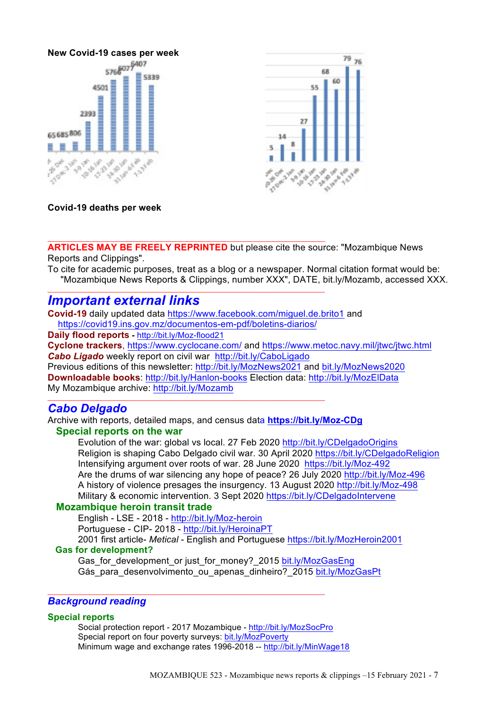



**Covid-19 deaths per week**

**ARTICLES MAY BE FREELY REPRINTED** but please cite the source: "Mozambique News Reports and Clippings".

To cite for academic purposes, treat as a blog or a newspaper. Normal citation format would be: "Mozambique News Reports & Clippings, number XXX", DATE, bit.ly/Mozamb, accessed XXX.

### *Important external links*

**Covid-19** daily updated data https://www.facebook.com/miguel.de.brito1 and https://covid19.ins.gov.mz/documentos-em-pdf/boletins-diarios/

 $\mathcal{L}_\text{max}$  , and the set of the set of the set of the set of the set of the set of the set of the set of the set of

 $\_$  ,  $\_$  ,  $\_$  ,  $\_$  ,  $\_$  ,  $\_$  ,  $\_$  ,  $\_$  ,  $\_$  ,  $\_$  ,  $\_$  ,  $\_$  ,  $\_$  ,  $\_$  ,  $\_$  ,  $\_$  ,  $\_$  ,  $\_$  ,  $\_$  ,  $\_$ 

 $\mathcal{L}_\mathcal{L} = \{ \mathcal{L}_\mathcal{L} = \{ \mathcal{L}_\mathcal{L} = \{ \mathcal{L}_\mathcal{L} = \{ \mathcal{L}_\mathcal{L} = \{ \mathcal{L}_\mathcal{L} = \{ \mathcal{L}_\mathcal{L} = \{ \mathcal{L}_\mathcal{L} = \{ \mathcal{L}_\mathcal{L} = \{ \mathcal{L}_\mathcal{L} = \{ \mathcal{L}_\mathcal{L} = \{ \mathcal{L}_\mathcal{L} = \{ \mathcal{L}_\mathcal{L} = \{ \mathcal{L}_\mathcal{L} = \{ \mathcal{L}_\mathcal{$ 

**Daily flood reports -** http://bit.ly/Moz-flood21

**Cyclone trackers**, https://www.cyclocane.com/ and https://www.metoc.navy.mil/jtwc/jtwc.html *Cabo Ligado* weekly report on civil war http://bit.ly/CaboLigado

Previous editions of this newsletter: http://bit.ly/MozNews2021 and bit.ly/MozNews2020 **Downloadable books**: http://bit.ly/Hanlon-books Election data: http://bit.ly/MozElData My Mozambique archive: http://bit.ly/Mozamb

### *Cabo Delgado*

Archive with reports, detailed maps, and census data **https://bit.ly/Moz-CDg**

### **Special reports on the war**

Evolution of the war: global vs local. 27 Feb 2020 http://bit.ly/CDelgadoOrigins Religion is shaping Cabo Delgado civil war. 30 April 2020 https://bit.ly/CDelgadoReligion Intensifying argument over roots of war. 28 June 2020 https://bit.ly/Moz-492 Are the drums of war silencing any hope of peace? 26 July 2020 http://bit.ly/Moz-496 A history of violence presages the insurgency. 13 August 2020 http://bit.ly/Moz-498 Military & economic intervention. 3 Sept 2020 https://bit.ly/CDelgadoIntervene

### **Mozambique heroin transit trade**

English - LSE - 2018 - http://bit.ly/Moz-heroin Portuguese - CIP- 2018 - http://bit.ly/HeroinaPT 2001 first article- *Metical* - English and Portuguese https://bit.ly/MozHeroin2001

### **Gas for development?**

Gas for development or just for money? 2015 bit.ly/MozGasEng Gás para desenvolvimento ou apenas dinheiro? 2015 bit.ly/MozGasPt

### *Background reading*

### **Special reports**

Social protection report - 2017 Mozambique - http://bit.ly/MozSocPro Special report on four poverty surveys: bit.ly/MozPoverty Minimum wage and exchange rates 1996-2018 -- http://bit.ly/MinWage18

 $\_$  ,  $\_$  ,  $\_$  ,  $\_$  ,  $\_$  ,  $\_$  ,  $\_$  ,  $\_$  ,  $\_$  ,  $\_$  ,  $\_$  ,  $\_$  ,  $\_$  ,  $\_$  ,  $\_$  ,  $\_$  ,  $\_$  ,  $\_$  ,  $\_$  ,  $\_$